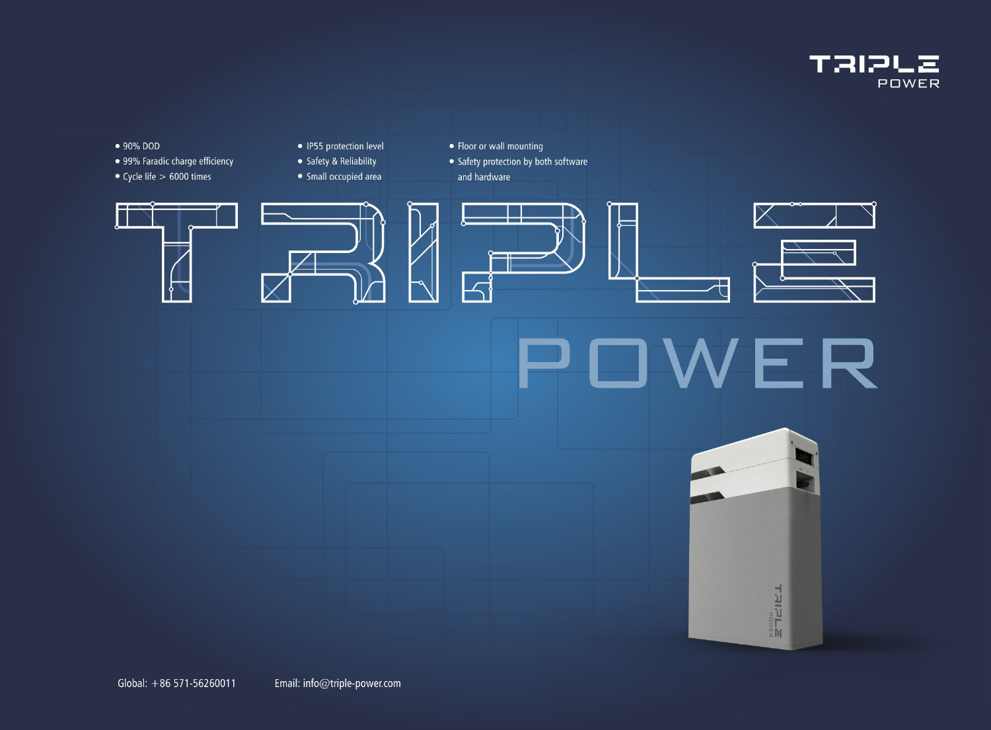